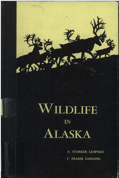# LDLIFE  $\sqrt{}$  $IN$ LASKA  $\bm{A}$

5313

Luis

A. STARKER LEOPOLD F. FRASER DARLING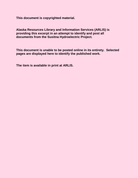**This document is copyrighted material.** 

**Alaska Resources Library and Information Services (ARLIS) is providing this excerpt in an attempt to identify and post all documents from the Susitna Hydroelectric Project.** 

**This document is unable to be posted online in its entirety. Selected pages are displayed here to identify the published work.** 

**The item is available in print at ARLIS.**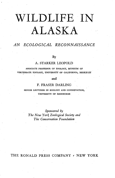# **WILDLIFE IN ALASKA**

### *AN ECOLOGICAL RECONNAISSANCE*

By

#### A. STARKER LEOPOLD

ASSOCIATE PROFESSOR OF ZOOLOGY, MUSEUM OF VERTEBRATE ZOOLOGY, UNIVERSITY OF CALIFORNIA, BERKELEY

#### and

#### F. FRASER DARLING

SENIOR LECTURER IN ECOLOGY AND CONSERVATION, UNIVERSITY OF EDINBURGH

*Sponsored by The New York Zoological Society and The Conservation Foundation* 

#### THE RONALD PRESS COMPANY , NEW YORK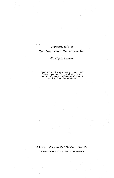#### Copyright, 1953, by

#### THE CONSERVATION FOUNDATION, INC.

#### *All Rights Reserved*

The text of this publication or any part thereof may not be reproduced in- any **manner whatsoever without permission in**  writing from the publisher

Library of Congress Card Number: 53-12201 **PRIN'tED IN THE UNITED STATES OF AMERICA**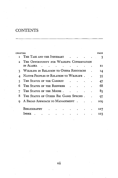## **CONTENTS**

| СНАРТ |                                                | <b>PACE</b> |
|-------|------------------------------------------------|-------------|
|       | THE TASK AND THE ITINERARY                     |             |
|       | THE OPPORTUNITY FOR WILDLIFE CONSERVATION      |             |
|       | in Alaska                                      | 11          |
| 2     | <b>WILDLIFE IN RELATION TO OTHER RESOURCES</b> | 14          |
|       | NATIVE PEOPLES IN RELATION TO WILDLIFE.        | 35          |
| 5     | THE STATUS OF THE CARIBOU                      | 47          |
| h     | THE STATUS OF THE REINDEER                     | 68          |
|       | THE STATUS OF THE MOOSE.                       | 83          |
| 8     | THE STATUS OF OTHER BIG GAME SPECIES.          | 97          |
| Q     | A BROAD APPROACH TO MANAGEMENT                 | 10Q         |
|       | Bibliography                                   | 117         |
|       | l NDEX                                         | 123         |